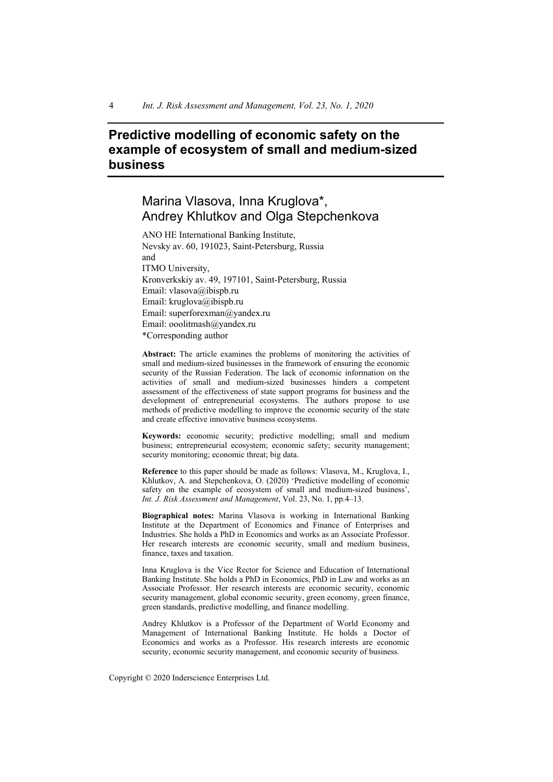# **Predictive modelling of economic safety on the example of ecosystem of small and medium-sized business**

# Marina Vlasova, Inna Kruglova\*, Andrey Khlutkov and Olga Stepchenkova

ANO HE International Banking Institute, Nevsky av. 60, 191023, Saint-Petersburg, Russia and ITMO University, Kronverkskiy av. 49, 197101, Saint-Petersburg, Russia Email: vlasova@ibispb.ru Email: kruglova@ibispb.ru Email: superforexman@yandex.ru Email: ooolitmash@yandex.ru \*Corresponding author

**Abstract:** The article examines the problems of monitoring the activities of small and medium-sized businesses in the framework of ensuring the economic security of the Russian Federation. The lack of economic information on the activities of small and medium-sized businesses hinders a competent assessment of the effectiveness of state support programs for business and the development of entrepreneurial ecosystems. The authors propose to use methods of predictive modelling to improve the economic security of the state and create effective innovative business ecosystems.

**Keywords:** economic security; predictive modelling; small and medium business; entrepreneurial ecosystem; economic safety; security management; security monitoring; economic threat; big data.

**Reference** to this paper should be made as follows: Vlasova, M., Kruglova, I., Khlutkov, A. and Stepchenkova, O. (2020) 'Predictive modelling of economic safety on the example of ecosystem of small and medium-sized business', *Int. J. Risk Assessment and Management*, Vol. 23, No. 1, pp.4–13.

**Biographical notes:** Marina Vlasova is working in International Banking Institute at the Department of Economics and Finance of Enterprises and Industries. She holds a PhD in Economics and works as an Associate Professor. Her research interests are economic security, small and medium business, finance, taxes and taxation.

Inna Kruglova is the Vice Rector for Science and Education of International Banking Institute. She holds a PhD in Economics, PhD in Law and works as an Associate Professor. Her research interests are economic security, economic security management, global economic security, green economy, green finance, green standards, predictive modelling, and finance modelling.

Andrey Khlutkov is a Professor of the Department of World Economy and Management of International Banking Institute. He holds a Doctor of Economics and works as a Professor. His research interests are economic security, economic security management, and economic security of business.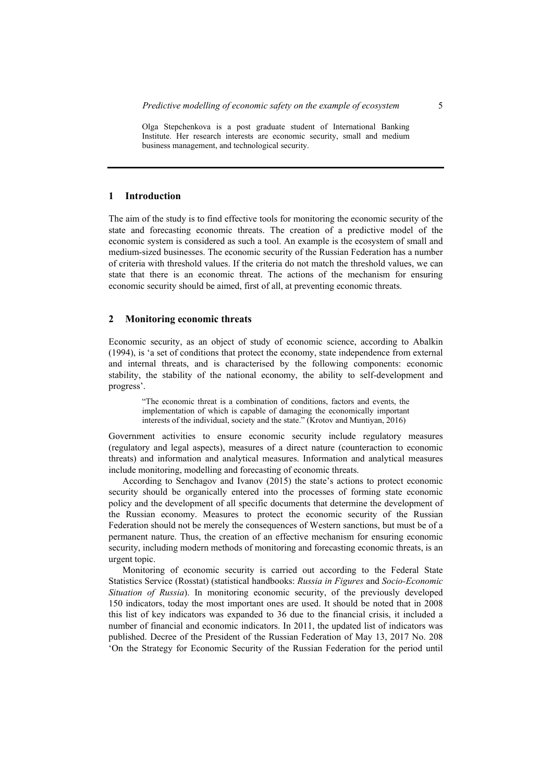Olga Stepchenkova is a post graduate student of International Banking Institute. Her research interests are economic security, small and medium business management, and technological security.

#### **1 Introduction**

The aim of the study is to find effective tools for monitoring the economic security of the state and forecasting economic threats. The creation of a predictive model of the economic system is considered as such a tool. An example is the ecosystem of small and medium-sized businesses. The economic security of the Russian Federation has a number of criteria with threshold values. If the criteria do not match the threshold values, we can state that there is an economic threat. The actions of the mechanism for ensuring economic security should be aimed, first of all, at preventing economic threats.

#### **2 Monitoring economic threats**

Economic security, as an object of study of economic science, according to Abalkin (1994), is 'a set of conditions that protect the economy, state independence from external and internal threats, and is characterised by the following components: economic stability, the stability of the national economy, the ability to self-development and progress'.

> "The economic threat is a combination of conditions, factors and events, the implementation of which is capable of damaging the economically important interests of the individual, society and the state." (Krotov and Muntiyan, 2016)

Government activities to ensure economic security include regulatory measures (regulatory and legal aspects), measures of a direct nature (counteraction to economic threats) and information and analytical measures. Information and analytical measures include monitoring, modelling and forecasting of economic threats.

According to Senchagov and Ivanov (2015) the state's actions to protect economic security should be organically entered into the processes of forming state economic policy and the development of all specific documents that determine the development of the Russian economy. Measures to protect the economic security of the Russian Federation should not be merely the consequences of Western sanctions, but must be of a permanent nature. Thus, the creation of an effective mechanism for ensuring economic security, including modern methods of monitoring and forecasting economic threats, is an urgent topic.

Monitoring of economic security is carried out according to the Federal State Statistics Service (Rosstat) (statistical handbooks: *Russia in Figures* and *Socio-Economic Situation of Russia*). In monitoring economic security, of the previously developed 150 indicators, today the most important ones are used. It should be noted that in 2008 this list of key indicators was expanded to 36 due to the financial crisis, it included a number of financial and economic indicators. In 2011, the updated list of indicators was published. Decree of the President of the Russian Federation of May 13, 2017 No. 208 'On the Strategy for Economic Security of the Russian Federation for the period until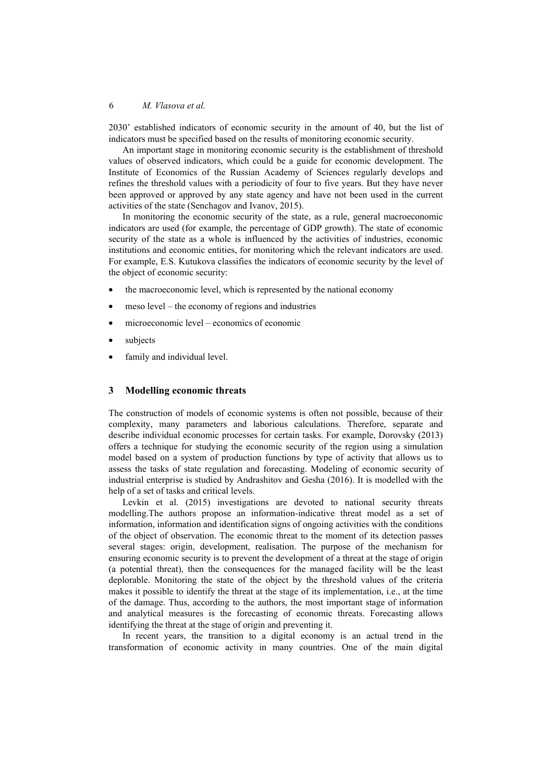2030' established indicators of economic security in the amount of 40, but the list of indicators must be specified based on the results of monitoring economic security.

An important stage in monitoring economic security is the establishment of threshold values of observed indicators, which could be a guide for economic development. The Institute of Economics of the Russian Academy of Sciences regularly develops and refines the threshold values with a periodicity of four to five years. But they have never been approved or approved by any state agency and have not been used in the current activities of the state (Senchagov and Ivanov, 2015).

In monitoring the economic security of the state, as a rule, general macroeconomic indicators are used (for example, the percentage of GDP growth). The state of economic security of the state as a whole is influenced by the activities of industries, economic institutions and economic entities, for monitoring which the relevant indicators are used. For example, E.S. Kutukova classifies the indicators of economic security by the level of the object of economic security:

- the macroeconomic level, which is represented by the national economy
- meso level the economy of regions and industries
- microeconomic level economics of economic
- subjects
- family and individual level.

### **3 Modelling economic threats**

The construction of models of economic systems is often not possible, because of their complexity, many parameters and laborious calculations. Therefore, separate and describe individual economic processes for certain tasks. For example, Dorovsky (2013) offers a technique for studying the economic security of the region using a simulation model based on a system of production functions by type of activity that allows us to assess the tasks of state regulation and forecasting. Modeling of economic security of industrial enterprise is studied by Andrashitov and Gesha (2016). It is modelled with the help of a set of tasks and critical levels.

Levkin et al. (2015) investigations are devoted to national security threats modelling.The authors propose an information-indicative threat model as a set of information, information and identification signs of ongoing activities with the conditions of the object of observation. The economic threat to the moment of its detection passes several stages: origin, development, realisation. The purpose of the mechanism for ensuring economic security is to prevent the development of a threat at the stage of origin (a potential threat), then the consequences for the managed facility will be the least deplorable. Monitoring the state of the object by the threshold values of the criteria makes it possible to identify the threat at the stage of its implementation, i.e., at the time of the damage. Thus, according to the authors, the most important stage of information and analytical measures is the forecasting of economic threats. Forecasting allows identifying the threat at the stage of origin and preventing it.

In recent years, the transition to a digital economy is an actual trend in the transformation of economic activity in many countries. One of the main digital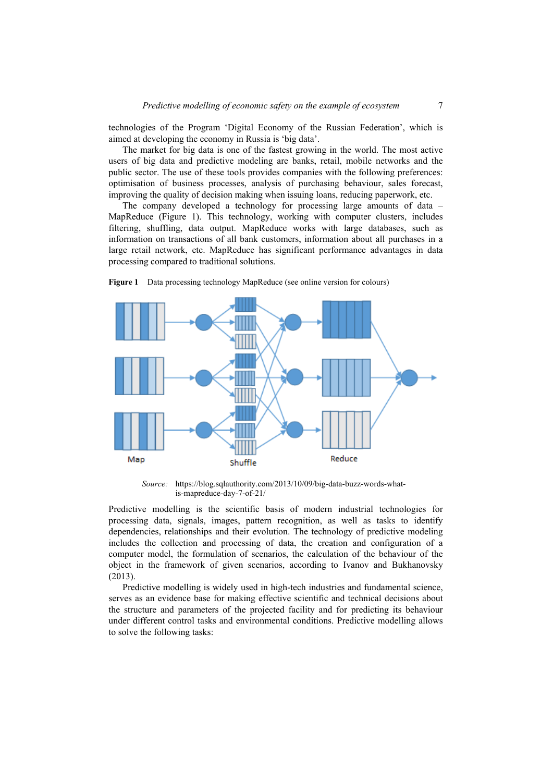technologies of the Program 'Digital Economy of the Russian Federation', which is aimed at developing the economy in Russia is 'big data'.

The market for big data is one of the fastest growing in the world. The most active users of big data and predictive modeling are banks, retail, mobile networks and the public sector. The use of these tools provides companies with the following preferences: optimisation of business processes, analysis of purchasing behaviour, sales forecast, improving the quality of decision making when issuing loans, reducing paperwork, etc.

The company developed a technology for processing large amounts of data – MapReduce (Figure 1). This technology, working with computer clusters, includes filtering, shuffling, data output. MapReduce works with large databases, such as information on transactions of all bank customers, information about all purchases in a large retail network, etc. MapReduce has significant performance advantages in data processing compared to traditional solutions.





*Source:* https://blog.sqlauthority.com/2013/10/09/big-data-buzz-words-whatis-mapreduce-day-7-of-21/

Predictive modelling is the scientific basis of modern industrial technologies for processing data, signals, images, pattern recognition, as well as tasks to identify dependencies, relationships and their evolution. The technology of predictive modeling includes the collection and processing of data, the creation and configuration of a computer model, the formulation of scenarios, the calculation of the behaviour of the object in the framework of given scenarios, according to Ivanov and Bukhanovsky (2013).

Predictive modelling is widely used in high-tech industries and fundamental science, serves as an evidence base for making effective scientific and technical decisions about the structure and parameters of the projected facility and for predicting its behaviour under different control tasks and environmental conditions. Predictive modelling allows to solve the following tasks: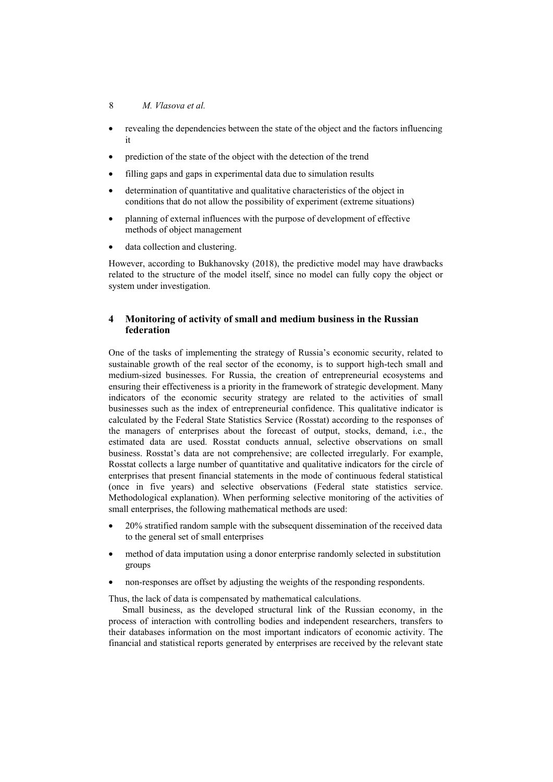- revealing the dependencies between the state of the object and the factors influencing it
- prediction of the state of the object with the detection of the trend
- filling gaps and gaps in experimental data due to simulation results
- determination of quantitative and qualitative characteristics of the object in conditions that do not allow the possibility of experiment (extreme situations)
- planning of external influences with the purpose of development of effective methods of object management
- data collection and clustering.

However, according to Bukhanovsky (2018), the predictive model may have drawbacks related to the structure of the model itself, since no model can fully copy the object or system under investigation.

## **4 Monitoring of activity of small and medium business in the Russian federation**

One of the tasks of implementing the strategy of Russia's economic security, related to sustainable growth of the real sector of the economy, is to support high-tech small and medium-sized businesses. For Russia, the creation of entrepreneurial ecosystems and ensuring their effectiveness is a priority in the framework of strategic development. Many indicators of the economic security strategy are related to the activities of small businesses such as the index of entrepreneurial confidence. This qualitative indicator is calculated by the Federal State Statistics Service (Rosstat) according to the responses of the managers of enterprises about the forecast of output, stocks, demand, i.e., the estimated data are used. Rosstat conducts annual, selective observations on small business. Rosstat's data are not comprehensive; are collected irregularly. For example, Rosstat collects a large number of quantitative and qualitative indicators for the circle of enterprises that present financial statements in the mode of continuous federal statistical (once in five years) and selective observations (Federal state statistics service. Methodological explanation). When performing selective monitoring of the activities of small enterprises, the following mathematical methods are used:

- 20% stratified random sample with the subsequent dissemination of the received data to the general set of small enterprises
- method of data imputation using a donor enterprise randomly selected in substitution groups
- non-responses are offset by adjusting the weights of the responding respondents.

Thus, the lack of data is compensated by mathematical calculations.

Small business, as the developed structural link of the Russian economy, in the process of interaction with controlling bodies and independent researchers, transfers to their databases information on the most important indicators of economic activity. The financial and statistical reports generated by enterprises are received by the relevant state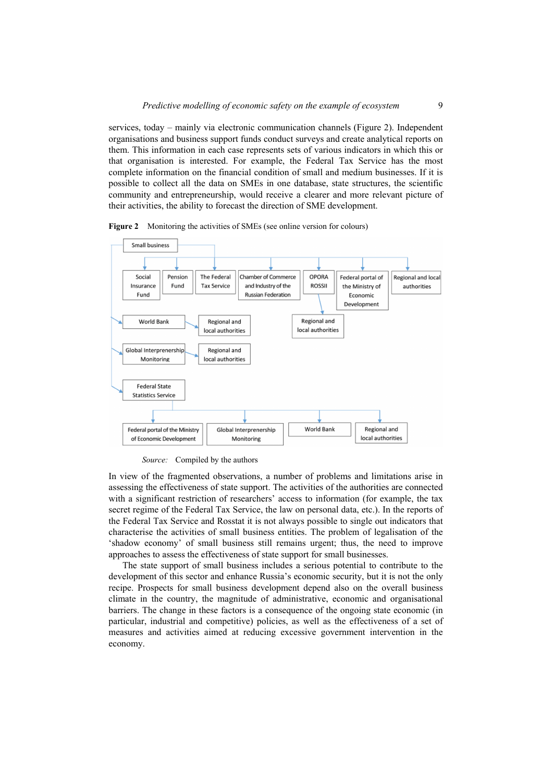services, today – mainly via electronic communication channels (Figure 2). Independent organisations and business support funds conduct surveys and create analytical reports on them. This information in each case represents sets of various indicators in which this or that organisation is interested. For example, the Federal Tax Service has the most complete information on the financial condition of small and medium businesses. If it is possible to collect all the data on SMEs in one database, state structures, the scientific community and entrepreneurship, would receive a clearer and more relevant picture of their activities, the ability to forecast the direction of SME development.



**Figure 2** Monitoring the activities of SMEs (see online version for colours)

*Source:* Compiled by the authors

In view of the fragmented observations, a number of problems and limitations arise in assessing the effectiveness of state support. The activities of the authorities are connected with a significant restriction of researchers' access to information (for example, the tax secret regime of the Federal Tax Service, the law on personal data, etc.). In the reports of the Federal Tax Service and Rosstat it is not always possible to single out indicators that characterise the activities of small business entities. The problem of legalisation of the 'shadow economy' of small business still remains urgent; thus, the need to improve approaches to assess the effectiveness of state support for small businesses.

The state support of small business includes a serious potential to contribute to the development of this sector and enhance Russia's economic security, but it is not the only recipe. Prospects for small business development depend also on the overall business climate in the country, the magnitude of administrative, economic and organisational barriers. The change in these factors is a consequence of the ongoing state economic (in particular, industrial and competitive) policies, as well as the effectiveness of a set of measures and activities aimed at reducing excessive government intervention in the economy.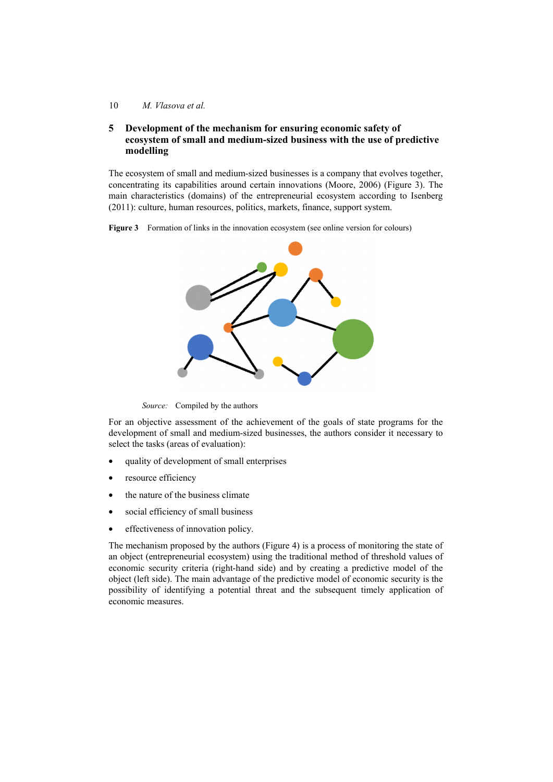## **5 Development of the mechanism for ensuring economic safety of ecosystem of small and medium-sized business with the use of predictive modelling**

The ecosystem of small and medium-sized businesses is a company that evolves together, concentrating its capabilities around certain innovations (Moore, 2006) (Figure 3). The main characteristics (domains) of the entrepreneurial ecosystem according to Isenberg (2011): culture, human resources, politics, markets, finance, support system.

**Figure 3** Formation of links in the innovation ecosystem (see online version for colours)



*Source:* Compiled by the authors

For an objective assessment of the achievement of the goals of state programs for the development of small and medium-sized businesses, the authors consider it necessary to select the tasks (areas of evaluation):

- quality of development of small enterprises
- resource efficiency
- the nature of the business climate
- social efficiency of small business
- effectiveness of innovation policy.

The mechanism proposed by the authors (Figure 4) is a process of monitoring the state of an object (entrepreneurial ecosystem) using the traditional method of threshold values of economic security criteria (right-hand side) and by creating a predictive model of the object (left side). The main advantage of the predictive model of economic security is the possibility of identifying a potential threat and the subsequent timely application of economic measures.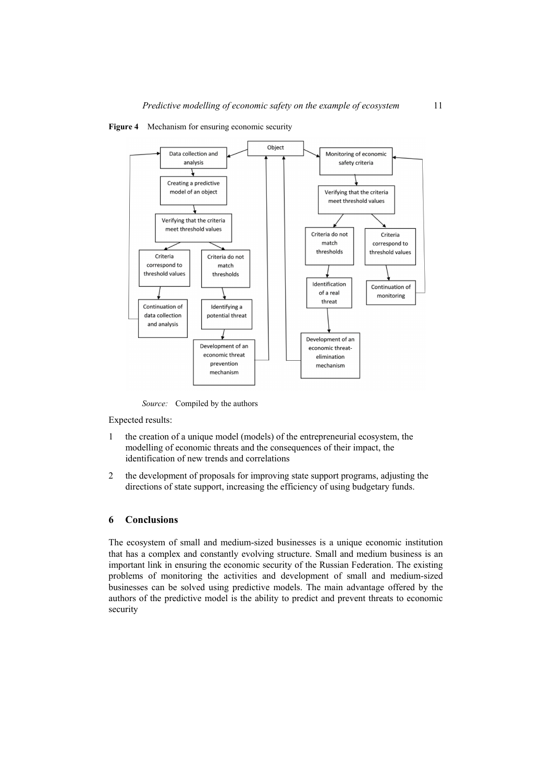

**Figure 4** Mechanism for ensuring economic security

*Source:* Compiled by the authors

Expected results:

- 1 the creation of a unique model (models) of the entrepreneurial ecosystem, the modelling of economic threats and the consequences of their impact, the identification of new trends and correlations
- 2 the development of proposals for improving state support programs, adjusting the directions of state support, increasing the efficiency of using budgetary funds.

## **6 Conclusions**

The ecosystem of small and medium-sized businesses is a unique economic institution that has a complex and constantly evolving structure. Small and medium business is an important link in ensuring the economic security of the Russian Federation. The existing problems of monitoring the activities and development of small and medium-sized businesses can be solved using predictive models. The main advantage offered by the authors of the predictive model is the ability to predict and prevent threats to economic security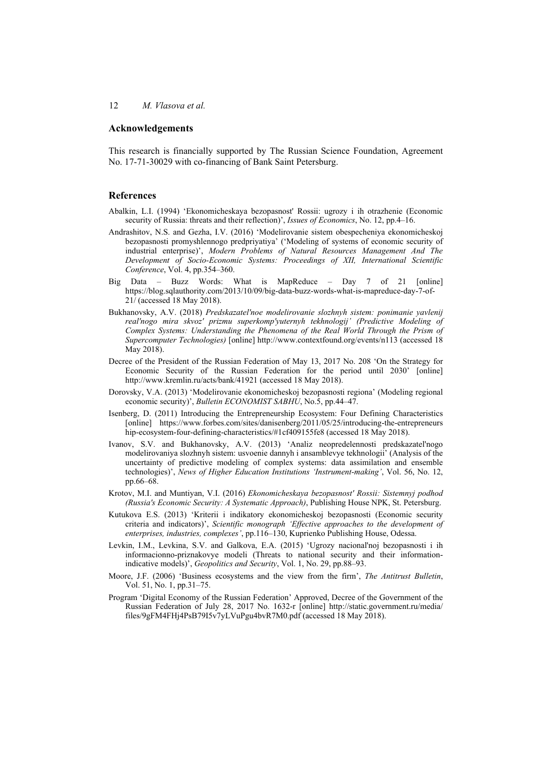### **Acknowledgements**

This research is financially supported by The Russian Science Foundation, Agreement No. 17-71-30029 with co-financing of Bank Saint Petersburg.

## **References**

- Abalkin, L.I. (1994) 'Ekonomicheskaya bezopasnost' Rossii: ugrozy i ih otrazhenie (Economic security of Russia: threats and their reflection)', *Issues of Economics*, No. 12, pp.4–16.
- Andrashitov, N.S. and Gezha, I.V. (2016) 'Modelirovanie sistem obespecheniya ekonomicheskoj bezopasnosti promyshlennogo predpriyatiya' ('Modeling of systems of economic security of industrial enterprise)', *Modern Problems of Natural Resources Management And The Development of Socio-Economic Systems: Proceedings of XII, International Scientific Conference*, Vol. 4, pp.354–360.
- Big Data Buzz Words: What is MapReduce Day 7 of 21 [online] https://blog.sqlauthority.com/2013/10/09/big-data-buzz-words-what-is-mapreduce-day-7-of-21/ (accessed 18 May 2018).
- Bukhanovsky, A.V. (2018) *Predskazatel'noe modelirovanie slozhnyh sistem: ponimanie yavlenij real'nogo mira skvoz' prizmu superkomp'yuternyh tekhnologij' (Predictive Modeling of Complex Systems: Understanding the Phenomena of the Real World Through the Prism of Supercomputer Technologies)* [online] http://www.contextfound.org/events/n113 (accessed 18 May 2018).
- Decree of the President of the Russian Federation of May 13, 2017 No. 208 'On the Strategy for Economic Security of the Russian Federation for the period until 2030' [online] http://www.kremlin.ru/acts/bank/41921 (accessed 18 May 2018).
- Dorovsky, V.A. (2013) 'Modelirovanie ekonomicheskoj bezopasnosti regiona' (Modeling regional economic security)', *Bulletin ECONOMIST SABHU*, No.5, pp.44–47.
- Isenberg, D. (2011) Introducing the Entrepreneurship Ecosystem: Four Defining Characteristics [online] https://www.forbes.com/sites/danisenberg/2011/05/25/introducing-the-entrepreneurs hip-ecosystem-four-defining-characteristics/#1cf409155fe8 (accessed 18 May 2018).
- Ivanov, S.V. and Bukhanovsky, A.V. (2013) 'Analiz neopredelennosti predskazatel'nogo modelirovaniya slozhnyh sistem: usvoenie dannyh i ansamblevye tekhnologii' (Analysis of the uncertainty of predictive modeling of complex systems: data assimilation and ensemble technologies)', *News of Higher Education Institutions 'Instrument-making'*, Vol. 56, No. 12, pp.66–68.
- Krotov, M.I. and Muntiyan, V.I. (2016) *Ekonomicheskaya bezopasnost' Rossii: Sistemnyj podhod (Russia's Economic Security: A Systematic Approach)*, Publishing House NPK, St. Petersburg.
- Kutukova E.S. (2013) 'Kriterii i indikatory ekonomicheskoj bezopasnosti (Economic security criteria and indicators)', *Scientific monograph 'Effective approaches to the development of enterprises, industries, complexes'*, pp.116–130, Kuprienko Publishing House, Odessa.
- Levkin, I.M., Levkina, S.V. and Galkova, E.A. (2015) 'Ugrozy nacional'noj bezopasnosti i ih informacionno-priznakovye modeli (Threats to national security and their informationindicative models)', *Geopolitics and Security*, Vol. 1, No. 29, pp.88–93.
- Moore, J.F. (2006) 'Business ecosystems and the view from the firm', *The Antitrust Bulletin*, Vol. 51, No. 1, pp.31–75.
- Program 'Digital Economy of the Russian Federation' Approved, Decree of the Government of the Russian Federation of July 28, 2017 No. 1632-r [online] http://static.government.ru/media/ files/9gFM4FHj4PsB79I5v7yLVuPgu4bvR7M0.pdf (accessed 18 May 2018).